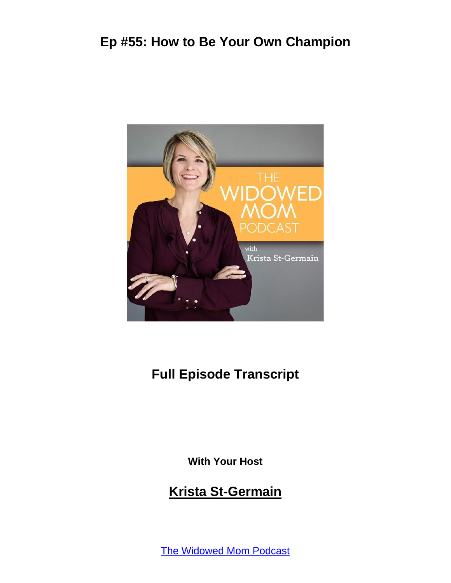

#### **Full Episode Transcript**

**With Your Host**

#### **Krista St-Germain**

[The Widowed Mom Podcast](https://coachingwithkrista.com/podcast)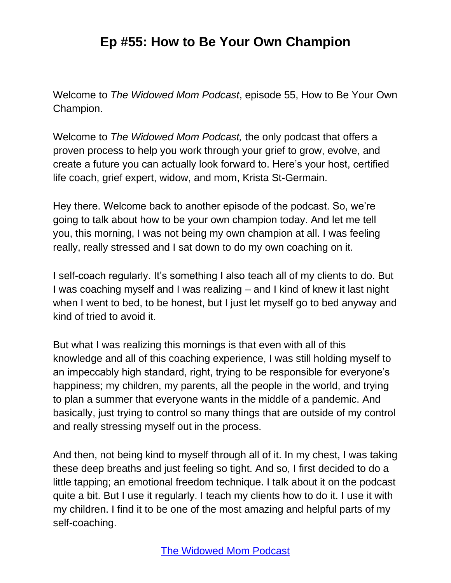Welcome to *The Widowed Mom Podcast*, episode 55, How to Be Your Own Champion.

Welcome to *The Widowed Mom Podcast,* the only podcast that offers a proven process to help you work through your grief to grow, evolve, and create a future you can actually look forward to. Here's your host, certified life coach, grief expert, widow, and mom, Krista St-Germain.

Hey there. Welcome back to another episode of the podcast. So, we're going to talk about how to be your own champion today. And let me tell you, this morning, I was not being my own champion at all. I was feeling really, really stressed and I sat down to do my own coaching on it.

I self-coach regularly. It's something I also teach all of my clients to do. But I was coaching myself and I was realizing – and I kind of knew it last night when I went to bed, to be honest, but I just let myself go to bed anyway and kind of tried to avoid it.

But what I was realizing this mornings is that even with all of this knowledge and all of this coaching experience, I was still holding myself to an impeccably high standard, right, trying to be responsible for everyone's happiness; my children, my parents, all the people in the world, and trying to plan a summer that everyone wants in the middle of a pandemic. And basically, just trying to control so many things that are outside of my control and really stressing myself out in the process.

And then, not being kind to myself through all of it. In my chest, I was taking these deep breaths and just feeling so tight. And so, I first decided to do a little tapping; an emotional freedom technique. I talk about it on the podcast quite a bit. But I use it regularly. I teach my clients how to do it. I use it with my children. I find it to be one of the most amazing and helpful parts of my self-coaching.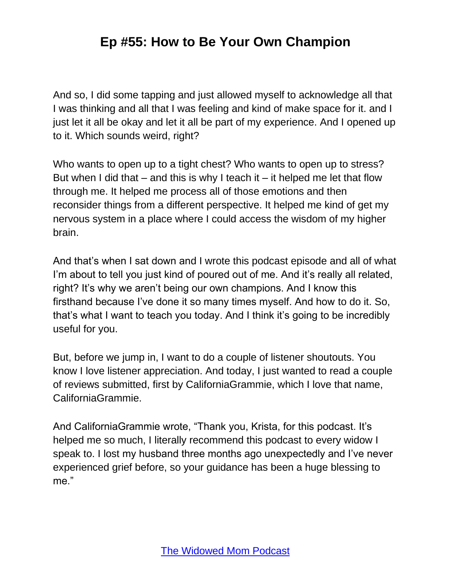And so, I did some tapping and just allowed myself to acknowledge all that I was thinking and all that I was feeling and kind of make space for it. and I just let it all be okay and let it all be part of my experience. And I opened up to it. Which sounds weird, right?

Who wants to open up to a tight chest? Who wants to open up to stress? But when I did that  $-$  and this is why I teach it  $-$  it helped me let that flow through me. It helped me process all of those emotions and then reconsider things from a different perspective. It helped me kind of get my nervous system in a place where I could access the wisdom of my higher brain.

And that's when I sat down and I wrote this podcast episode and all of what I'm about to tell you just kind of poured out of me. And it's really all related, right? It's why we aren't being our own champions. And I know this firsthand because I've done it so many times myself. And how to do it. So, that's what I want to teach you today. And I think it's going to be incredibly useful for you.

But, before we jump in, I want to do a couple of listener shoutouts. You know I love listener appreciation. And today, I just wanted to read a couple of reviews submitted, first by CaliforniaGrammie, which I love that name, CaliforniaGrammie.

And CaliforniaGrammie wrote, "Thank you, Krista, for this podcast. It's helped me so much, I literally recommend this podcast to every widow I speak to. I lost my husband three months ago unexpectedly and I've never experienced grief before, so your guidance has been a huge blessing to me."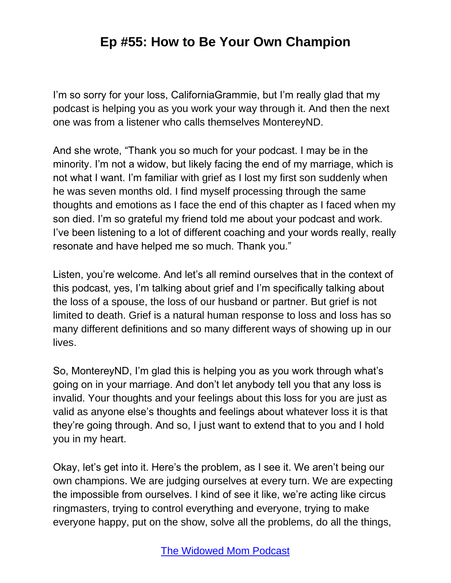I'm so sorry for your loss, CaliforniaGrammie, but I'm really glad that my podcast is helping you as you work your way through it. And then the next one was from a listener who calls themselves MontereyND.

And she wrote, "Thank you so much for your podcast. I may be in the minority. I'm not a widow, but likely facing the end of my marriage, which is not what I want. I'm familiar with grief as I lost my first son suddenly when he was seven months old. I find myself processing through the same thoughts and emotions as I face the end of this chapter as I faced when my son died. I'm so grateful my friend told me about your podcast and work. I've been listening to a lot of different coaching and your words really, really resonate and have helped me so much. Thank you."

Listen, you're welcome. And let's all remind ourselves that in the context of this podcast, yes, I'm talking about grief and I'm specifically talking about the loss of a spouse, the loss of our husband or partner. But grief is not limited to death. Grief is a natural human response to loss and loss has so many different definitions and so many different ways of showing up in our lives.

So, MontereyND, I'm glad this is helping you as you work through what's going on in your marriage. And don't let anybody tell you that any loss is invalid. Your thoughts and your feelings about this loss for you are just as valid as anyone else's thoughts and feelings about whatever loss it is that they're going through. And so, I just want to extend that to you and I hold you in my heart.

Okay, let's get into it. Here's the problem, as I see it. We aren't being our own champions. We are judging ourselves at every turn. We are expecting the impossible from ourselves. I kind of see it like, we're acting like circus ringmasters, trying to control everything and everyone, trying to make everyone happy, put on the show, solve all the problems, do all the things,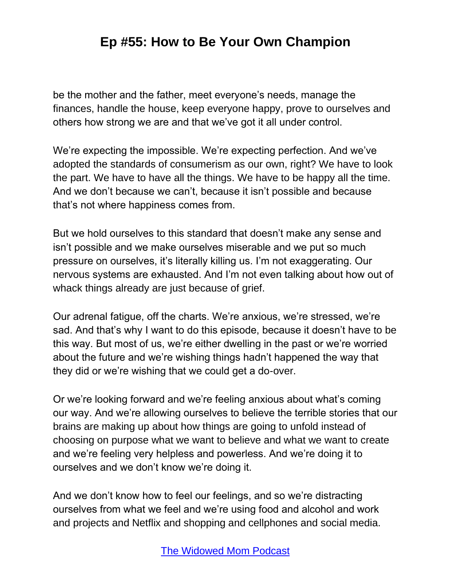be the mother and the father, meet everyone's needs, manage the finances, handle the house, keep everyone happy, prove to ourselves and others how strong we are and that we've got it all under control.

We're expecting the impossible. We're expecting perfection. And we've adopted the standards of consumerism as our own, right? We have to look the part. We have to have all the things. We have to be happy all the time. And we don't because we can't, because it isn't possible and because that's not where happiness comes from.

But we hold ourselves to this standard that doesn't make any sense and isn't possible and we make ourselves miserable and we put so much pressure on ourselves, it's literally killing us. I'm not exaggerating. Our nervous systems are exhausted. And I'm not even talking about how out of whack things already are just because of grief.

Our adrenal fatigue, off the charts. We're anxious, we're stressed, we're sad. And that's why I want to do this episode, because it doesn't have to be this way. But most of us, we're either dwelling in the past or we're worried about the future and we're wishing things hadn't happened the way that they did or we're wishing that we could get a do-over.

Or we're looking forward and we're feeling anxious about what's coming our way. And we're allowing ourselves to believe the terrible stories that our brains are making up about how things are going to unfold instead of choosing on purpose what we want to believe and what we want to create and we're feeling very helpless and powerless. And we're doing it to ourselves and we don't know we're doing it.

And we don't know how to feel our feelings, and so we're distracting ourselves from what we feel and we're using food and alcohol and work and projects and Netflix and shopping and cellphones and social media.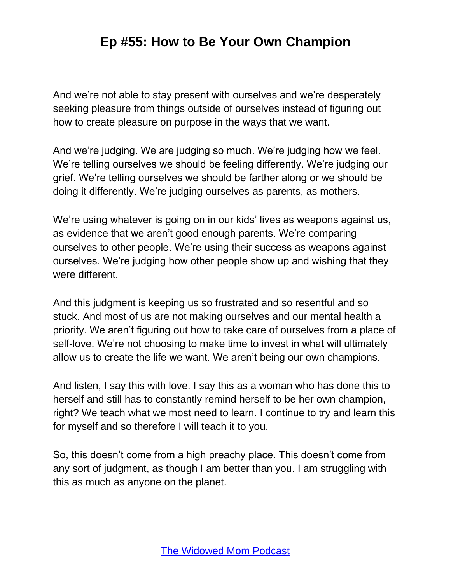And we're not able to stay present with ourselves and we're desperately seeking pleasure from things outside of ourselves instead of figuring out how to create pleasure on purpose in the ways that we want.

And we're judging. We are judging so much. We're judging how we feel. We're telling ourselves we should be feeling differently. We're judging our grief. We're telling ourselves we should be farther along or we should be doing it differently. We're judging ourselves as parents, as mothers.

We're using whatever is going on in our kids' lives as weapons against us, as evidence that we aren't good enough parents. We're comparing ourselves to other people. We're using their success as weapons against ourselves. We're judging how other people show up and wishing that they were different.

And this judgment is keeping us so frustrated and so resentful and so stuck. And most of us are not making ourselves and our mental health a priority. We aren't figuring out how to take care of ourselves from a place of self-love. We're not choosing to make time to invest in what will ultimately allow us to create the life we want. We aren't being our own champions.

And listen, I say this with love. I say this as a woman who has done this to herself and still has to constantly remind herself to be her own champion, right? We teach what we most need to learn. I continue to try and learn this for myself and so therefore I will teach it to you.

So, this doesn't come from a high preachy place. This doesn't come from any sort of judgment, as though I am better than you. I am struggling with this as much as anyone on the planet.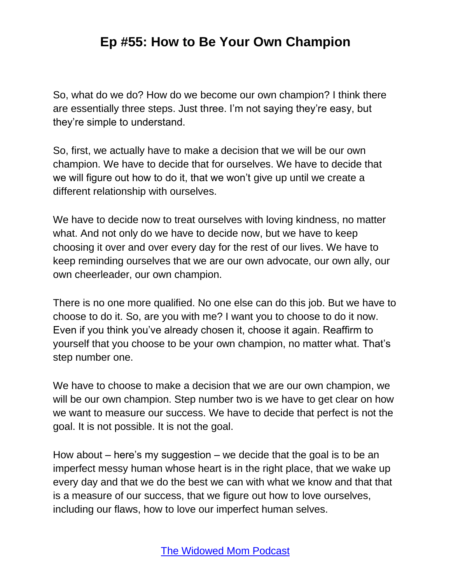So, what do we do? How do we become our own champion? I think there are essentially three steps. Just three. I'm not saying they're easy, but they're simple to understand.

So, first, we actually have to make a decision that we will be our own champion. We have to decide that for ourselves. We have to decide that we will figure out how to do it, that we won't give up until we create a different relationship with ourselves.

We have to decide now to treat ourselves with loving kindness, no matter what. And not only do we have to decide now, but we have to keep choosing it over and over every day for the rest of our lives. We have to keep reminding ourselves that we are our own advocate, our own ally, our own cheerleader, our own champion.

There is no one more qualified. No one else can do this job. But we have to choose to do it. So, are you with me? I want you to choose to do it now. Even if you think you've already chosen it, choose it again. Reaffirm to yourself that you choose to be your own champion, no matter what. That's step number one.

We have to choose to make a decision that we are our own champion, we will be our own champion. Step number two is we have to get clear on how we want to measure our success. We have to decide that perfect is not the goal. It is not possible. It is not the goal.

How about – here's my suggestion – we decide that the goal is to be an imperfect messy human whose heart is in the right place, that we wake up every day and that we do the best we can with what we know and that that is a measure of our success, that we figure out how to love ourselves, including our flaws, how to love our imperfect human selves.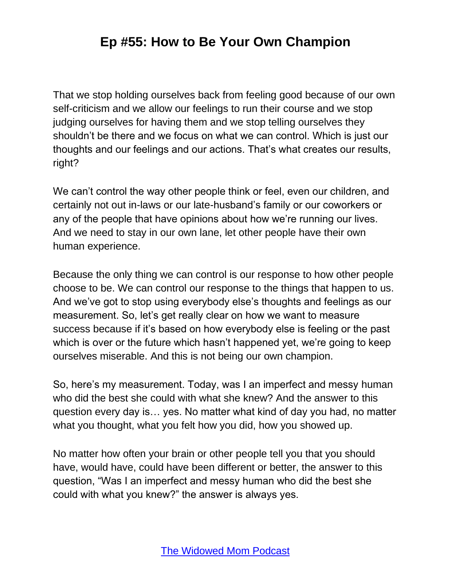That we stop holding ourselves back from feeling good because of our own self-criticism and we allow our feelings to run their course and we stop judging ourselves for having them and we stop telling ourselves they shouldn't be there and we focus on what we can control. Which is just our thoughts and our feelings and our actions. That's what creates our results, right?

We can't control the way other people think or feel, even our children, and certainly not out in-laws or our late-husband's family or our coworkers or any of the people that have opinions about how we're running our lives. And we need to stay in our own lane, let other people have their own human experience.

Because the only thing we can control is our response to how other people choose to be. We can control our response to the things that happen to us. And we've got to stop using everybody else's thoughts and feelings as our measurement. So, let's get really clear on how we want to measure success because if it's based on how everybody else is feeling or the past which is over or the future which hasn't happened yet, we're going to keep ourselves miserable. And this is not being our own champion.

So, here's my measurement. Today, was I an imperfect and messy human who did the best she could with what she knew? And the answer to this question every day is… yes. No matter what kind of day you had, no matter what you thought, what you felt how you did, how you showed up.

No matter how often your brain or other people tell you that you should have, would have, could have been different or better, the answer to this question, "Was I an imperfect and messy human who did the best she could with what you knew?" the answer is always yes.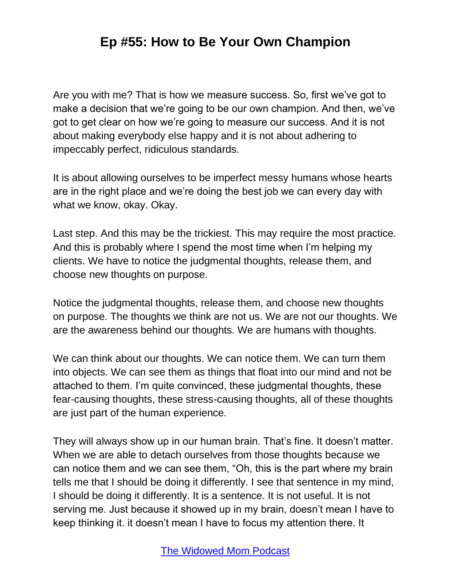Are you with me? That is how we measure success. So, first we've got to make a decision that we're going to be our own champion. And then, we've got to get clear on how we're going to measure our success. And it is not about making everybody else happy and it is not about adhering to impeccably perfect, ridiculous standards.

It is about allowing ourselves to be imperfect messy humans whose hearts are in the right place and we're doing the best job we can every day with what we know, okay. Okay.

Last step. And this may be the trickiest. This may require the most practice. And this is probably where I spend the most time when I'm helping my clients. We have to notice the judgmental thoughts, release them, and choose new thoughts on purpose.

Notice the judgmental thoughts, release them, and choose new thoughts on purpose. The thoughts we think are not us. We are not our thoughts. We are the awareness behind our thoughts. We are humans with thoughts.

We can think about our thoughts. We can notice them. We can turn them into objects. We can see them as things that float into our mind and not be attached to them. I'm quite convinced, these judgmental thoughts, these fear-causing thoughts, these stress-causing thoughts, all of these thoughts are just part of the human experience.

They will always show up in our human brain. That's fine. It doesn't matter. When we are able to detach ourselves from those thoughts because we can notice them and we can see them, "Oh, this is the part where my brain tells me that I should be doing it differently. I see that sentence in my mind, I should be doing it differently. It is a sentence. It is not useful. It is not serving me. Just because it showed up in my brain, doesn't mean I have to keep thinking it. it doesn't mean I have to focus my attention there. It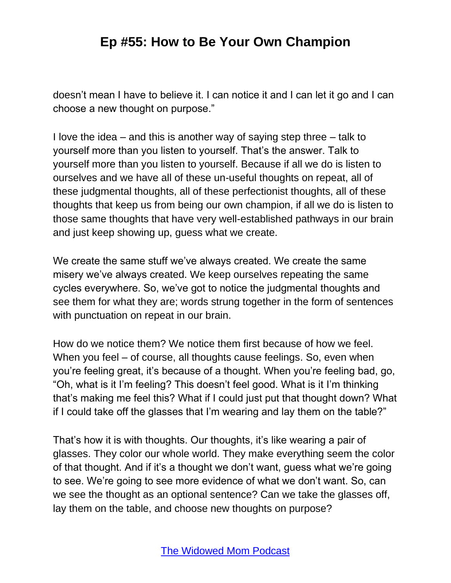doesn't mean I have to believe it. I can notice it and I can let it go and I can choose a new thought on purpose."

I love the idea – and this is another way of saying step three – talk to yourself more than you listen to yourself. That's the answer. Talk to yourself more than you listen to yourself. Because if all we do is listen to ourselves and we have all of these un-useful thoughts on repeat, all of these judgmental thoughts, all of these perfectionist thoughts, all of these thoughts that keep us from being our own champion, if all we do is listen to those same thoughts that have very well-established pathways in our brain and just keep showing up, guess what we create.

We create the same stuff we've always created. We create the same misery we've always created. We keep ourselves repeating the same cycles everywhere. So, we've got to notice the judgmental thoughts and see them for what they are; words strung together in the form of sentences with punctuation on repeat in our brain.

How do we notice them? We notice them first because of how we feel. When you feel – of course, all thoughts cause feelings. So, even when you're feeling great, it's because of a thought. When you're feeling bad, go, "Oh, what is it I'm feeling? This doesn't feel good. What is it I'm thinking that's making me feel this? What if I could just put that thought down? What if I could take off the glasses that I'm wearing and lay them on the table?"

That's how it is with thoughts. Our thoughts, it's like wearing a pair of glasses. They color our whole world. They make everything seem the color of that thought. And if it's a thought we don't want, guess what we're going to see. We're going to see more evidence of what we don't want. So, can we see the thought as an optional sentence? Can we take the glasses off, lay them on the table, and choose new thoughts on purpose?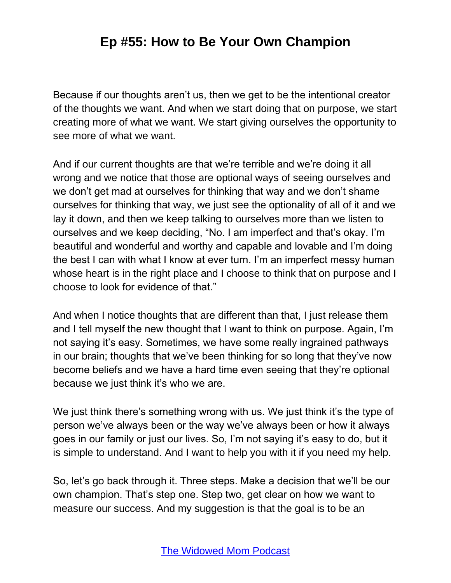Because if our thoughts aren't us, then we get to be the intentional creator of the thoughts we want. And when we start doing that on purpose, we start creating more of what we want. We start giving ourselves the opportunity to see more of what we want.

And if our current thoughts are that we're terrible and we're doing it all wrong and we notice that those are optional ways of seeing ourselves and we don't get mad at ourselves for thinking that way and we don't shame ourselves for thinking that way, we just see the optionality of all of it and we lay it down, and then we keep talking to ourselves more than we listen to ourselves and we keep deciding, "No. I am imperfect and that's okay. I'm beautiful and wonderful and worthy and capable and lovable and I'm doing the best I can with what I know at ever turn. I'm an imperfect messy human whose heart is in the right place and I choose to think that on purpose and I choose to look for evidence of that."

And when I notice thoughts that are different than that, I just release them and I tell myself the new thought that I want to think on purpose. Again, I'm not saying it's easy. Sometimes, we have some really ingrained pathways in our brain; thoughts that we've been thinking for so long that they've now become beliefs and we have a hard time even seeing that they're optional because we just think it's who we are.

We just think there's something wrong with us. We just think it's the type of person we've always been or the way we've always been or how it always goes in our family or just our lives. So, I'm not saying it's easy to do, but it is simple to understand. And I want to help you with it if you need my help.

So, let's go back through it. Three steps. Make a decision that we'll be our own champion. That's step one. Step two, get clear on how we want to measure our success. And my suggestion is that the goal is to be an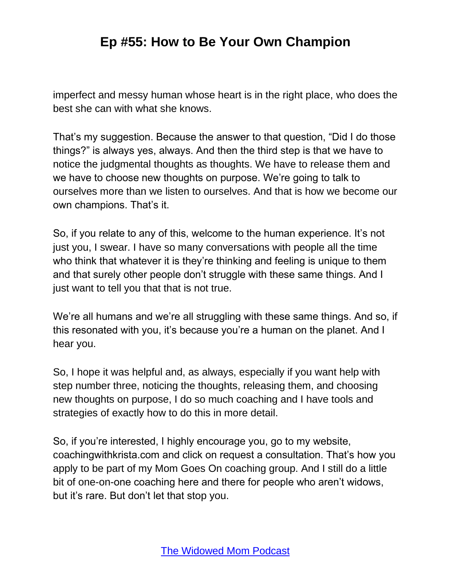imperfect and messy human whose heart is in the right place, who does the best she can with what she knows.

That's my suggestion. Because the answer to that question, "Did I do those things?" is always yes, always. And then the third step is that we have to notice the judgmental thoughts as thoughts. We have to release them and we have to choose new thoughts on purpose. We're going to talk to ourselves more than we listen to ourselves. And that is how we become our own champions. That's it.

So, if you relate to any of this, welcome to the human experience. It's not just you, I swear. I have so many conversations with people all the time who think that whatever it is they're thinking and feeling is unique to them and that surely other people don't struggle with these same things. And I just want to tell you that that is not true.

We're all humans and we're all struggling with these same things. And so, if this resonated with you, it's because you're a human on the planet. And I hear you.

So, I hope it was helpful and, as always, especially if you want help with step number three, noticing the thoughts, releasing them, and choosing new thoughts on purpose, I do so much coaching and I have tools and strategies of exactly how to do this in more detail.

So, if you're interested, I highly encourage you, go to my website, coachingwithkrista.com and click on request a consultation. That's how you apply to be part of my Mom Goes On coaching group. And I still do a little bit of one-on-one coaching here and there for people who aren't widows, but it's rare. But don't let that stop you.